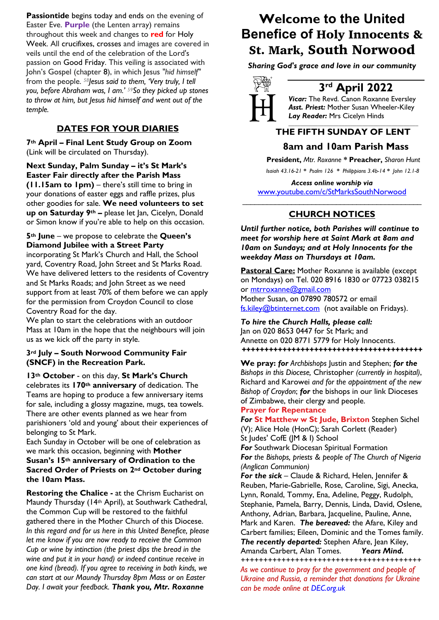**Passiontide** begins today and ends on the evening of Easter Eve. **Purple** (the Lenten array) remains throughout this week and changes to **red** for Holy Week. All crucifixes, crosses and images are covered in veils until the end of the celebration of the Lord's passion on Good Friday. This veiling is associated with John's Gospel (chapter 8), in which Jesus *"hid himself"* from the people. *58Jesus said to them, 'Very truly, I tell you, before Abraham was, I am.' 59So they picked up stones to throw at him, but Jesus hid himself and went out of the temple.*

## **DATES FOR YOUR DIARIES**

**7th April – Final Lent Study Group on Zoom**  (Link will be circulated on Thursday).

**Next Sunday, Palm Sunday – it's St Mark's Easter Fair directly after the Parish Mass (11.15am to 1pm)** – there's still time to bring in your donations of easter eggs and raffle prizes, plus other goodies for sale. **We need volunteers to set up on Saturday 9th –** please let Jan, Cicelyn, Donald or Simon know if you're able to help on this occasion.

### **5th June** – we propose to celebrate the **Queen's Diamond Jubilee with a Street Party**

incorporating St Mark's Church and Hall, the School yard, Coventry Road, John Street and St Marks Road. We have delivered letters to the residents of Coventry and St Marks Roads; and John Street as we need support from at least 70% of them before we can apply for the permission from Croydon Council to close Coventry Road for the day.

We plan to start the celebrations with an outdoor Mass at 10am in the hope that the neighbours will join us as we kick off the party in style.

### **3rd July – South Norwood Community Fair (SNCF) in the Recreation Park.**

**13th October** - on this day, **St Mark's Church** celebrates its **170th anniversary** of dedication. The Teams are hoping to produce a few anniversary items for sale, including a glossy magazine, mugs, tea towels. There are other events planned as we hear from parishioners 'old and young' about their experiences of belonging to St Mark.

Each Sunday in October will be one of celebration as we mark this occasion, beginning with **Mother Susan's 15th anniversary of Ordination to the** 

**Sacred Order of Priests on 2nd October during the 10am Mass.**

**Restoring the Chalice -** at the Chrism Eucharist on Maundy Thursday (14th April), at Southwark Cathedral, the Common Cup will be restored to the faithful gathered there in the Mother Church of this Diocese. *In this regard and for us here in this United Benefice, please let me know if you are now ready to receive the Common Cup or wine by intinction (the priest dips the bread in the wine and put it in your hand) or indeed continue receive in one kind (bread). If you agree to receiving in both kinds, we can start at our Maundy Thursday 8pm Mass or on Easter Day. I await your feedback. Thank you, Mtr. Roxanne*

# **Welcome to the United Benefice of** Holy Innocents & St. Mark, South Norwood

*Sharing God's grace and love in our community*



## **3rd April 2022**

*Vicar:* The Revd. Canon Roxanne Eversley *Asst. Priest:* Mother Susan Wheeler-Kiley *Lay Reader:* Mrs Cicelyn Hinds

### *\_\_\_\_\_\_\_\_\_\_\_\_\_\_\_\_\_\_\_\_\_\_\_\_\_\_\_\_\_\_\_\_\_\_\_\_\_\_\_\_\_\_\_\_*  **THE FIFTH SUNDAY OF LENT 8am and 10am Parish Mass**

 **President,** *Mtr. Roxanne \** **Preacher,** *Sharon Hunt*

 *Isaiah 43.16-21 \* Psalm 126 \* Philippians 3.4b-14 \* John 12.1-8*

*Access online worship via* www.youtube.com/c/StMarksSouthNorwood \_\_\_\_\_\_\_\_\_\_\_\_\_\_\_\_\_\_\_\_\_\_\_\_\_\_\_\_\_\_\_\_\_\_\_\_\_\_\_\_\_\_\_\_

### **CHURCH NOTICES**

*Until further notice, both Parishes will continue to meet for worship here at Saint Mark at 8am and 10am on Sundays; and at Holy Innocents for the weekday Mass on Thursdays at 10am.* 

**Pastoral Care:** Mother Roxanne is available (except on Mondays) on Tel. 020 8916 1830 or 07723 038215 or mtrroxanne@gmail.com Mother Susan, on 07890 780572 or email fs.kiley@btinternet.com (not available on Fridays).

*To hire the Church Halls, please call:* Jan on 020 8653 0447 for St Mark; and Annette on 020 8771 5779 for Holy Innocents. *++++++++++++++++++++++++++++++++++++++++*

**We pray:** *for Archbishops* Justin and Stephen; *for the Bishops in this Diocese,* Christopher *(currently in hospital)*, Richard and Karowei *and for the appointment of the new Bishop of Croydon*; *for* the bishops in our link Dioceses of Zimbabwe, their clergy and people.

### **Prayer for Repentance**

*For* **St Matthew w St Jude, Brixton** Stephen Sichel (V); Alice Hole (HonC); Sarah Corlett (Reader) St Judes' CofE (JM & I) School

*For* Southwark Diocesan Spiritual Formation *For the Bishops, priests & people of The Church of Nigeria (Anglican Communion)* 

*For the sick* – Claude & Richard, Helen, Jennifer & Reuben, Marie-Gabrielle, Rose, Caroline, Sigi, Anecka, Lynn, Ronald, Tommy, Ena, Adeline, Peggy, Rudolph, Stephanie, Pamela, Barry, Dennis, Linda, David, Oslene, Anthony, Adrian, Barbara, Jacqueline, Pauline, Anne, Mark and Karen. *The bereaved:* the Afare, Kiley and Carbert families; Eileen, Dominic and the Tomes family. *The recently departed:* Stephen Afare, Jean Kiley, Amanda Carbert, Alan Tomes. *Years Mind.*

*++++++++++++++++++++++++++++++++++++++++*

*As we continue to pray for the government and people of Ukraine and Russia, a reminder that donations for Ukraine can be made online at DEC.org.uk*